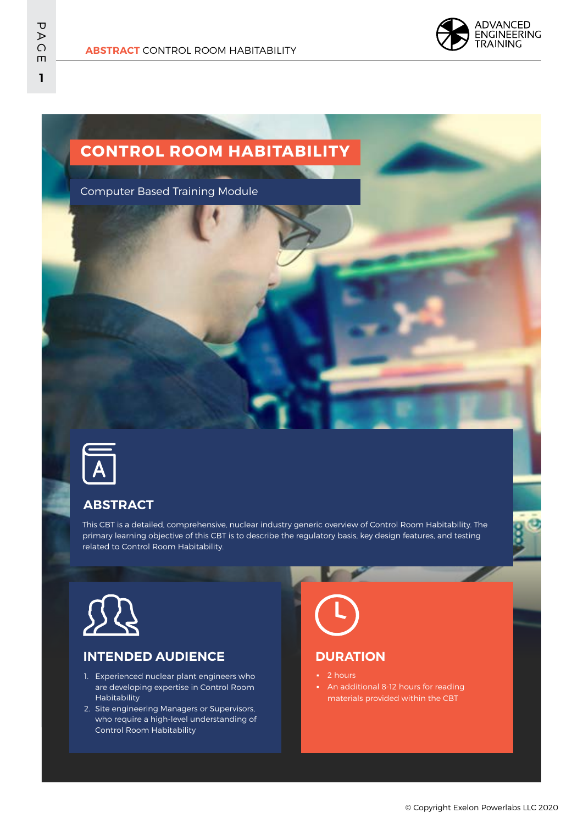

# **CONTROL ROOM HABITABILITY**

Computer Based Training Module



## **ABSTRACT**

This CBT is a detailed, comprehensive, nuclear industry generic overview of Control Room Habitability. The primary learning objective of this CBT is to describe the regulatory basis, key design features, and testing related to Control Room Habitability.



#### **INTENDED AUDIENCE**

- 1. Experienced nuclear plant engineers who are developing expertise in Control Room Habitability
- 2. Site engineering Managers or Supervisors, who require a high-level understanding of Control Room Habitability



#### **DURATION**

- 2 hours
- An additional 8-12 hours for reading materials provided within the CBT